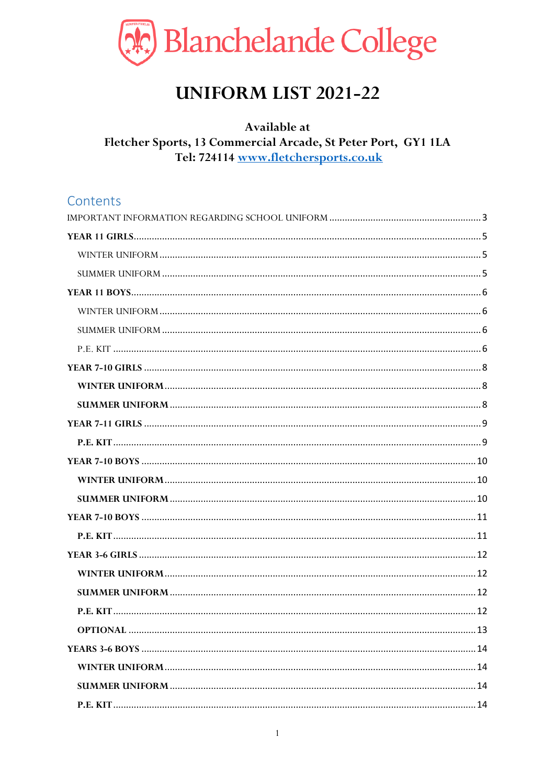

# **UNIFORM LIST 2021-22**

### Available at Fletcher Sports, 13 Commercial Arcade, St Peter Port, GY1 1LA Tel: 724114 www.fletchersports.co.uk

# Contents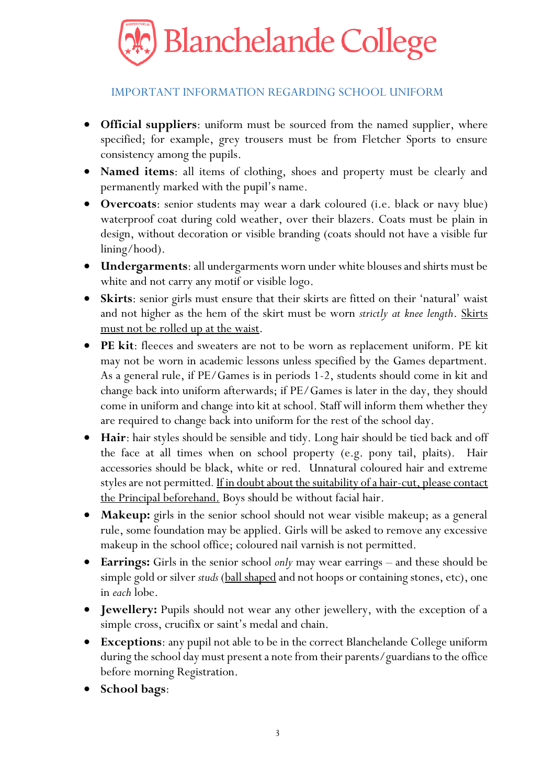

### IMPORTANT INFORMATION REGARDING SCHOOL UNIFORM

- <span id="page-2-0"></span>**Official suppliers**: uniform must be sourced from the named supplier, where specified; for example, grey trousers must be from Fletcher Sports to ensure consistency among the pupils.
- **Named items**: all items of clothing, shoes and property must be clearly and permanently marked with the pupil's name.
- **Overcoats**: senior students may wear a dark coloured (i.e. black or navy blue) waterproof coat during cold weather, over their blazers. Coats must be plain in design, without decoration or visible branding (coats should not have a visible fur lining/hood).
- **Undergarments**: all undergarments worn under white blouses and shirts must be white and not carry any motif or visible logo.
- **Skirts**: senior girls must ensure that their skirts are fitted on their 'natural' waist and not higher as the hem of the skirt must be worn *strictly at knee length*. Skirts must not be rolled up at the waist.
- **PE kit**: fleeces and sweaters are not to be worn as replacement uniform. PE kit may not be worn in academic lessons unless specified by the Games department. As a general rule, if PE/Games is in periods 1-2, students should come in kit and change back into uniform afterwards; if PE/Games is later in the day, they should come in uniform and change into kit at school. Staff will inform them whether they are required to change back into uniform for the rest of the school day.
- **Hair**: hair styles should be sensible and tidy. Long hair should be tied back and off the face at all times when on school property (e.g. pony tail, plaits). Hair accessories should be black, white or red. Unnatural coloured hair and extreme styles are not permitted*.* If in doubt about the suitability of a hair-cut, please contact the Principal beforehand. Boys should be without facial hair.
- **Makeup:** girls in the senior school should not wear visible makeup; as a general rule, some foundation may be applied. Girls will be asked to remove any excessive makeup in the school office; coloured nail varnish is not permitted.
- **Earrings:** Girls in the senior school *only* may wear earrings and these should be simple gold or silver *studs* (ball shaped and not hoops or containing stones, etc), one in *each* lobe.
- **Jewellery:** Pupils should not wear any other jewellery, with the exception of a simple cross, crucifix or saint's medal and chain.
- **Exceptions**: any pupil not able to be in the correct Blanchelande College uniform during the school day must present a note from their parents/guardians to the office before morning Registration.
- **School bags**: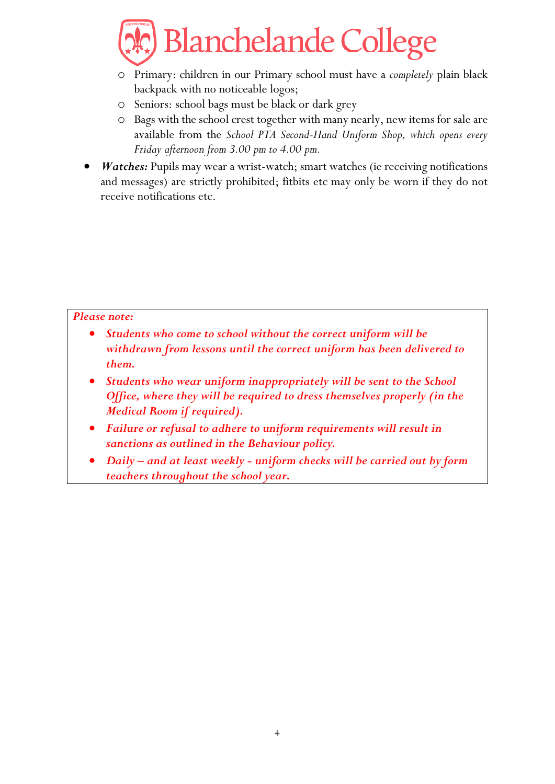

- o Primary: children in our Primary school must have a *completely* plain black backpack with no noticeable logos;
- o Seniors: school bags must be black or dark grey
- o Bags with the school crest together with many nearly, new items for sale are available from the *School PTA Second-Hand Uniform Shop, which opens every Friday afternoon from 3.00 pm to 4.00 pm.*
- *Watches: Pupils may wear a wrist-watch; smart watches (ie receiving notifications* and messages) are strictly prohibited; fitbits etc may only be worn if they do not receive notifications etc.

#### *Please note:*

- *Students who come to school without the correct uniform will be withdrawn from lessons until the correct uniform has been delivered to them.*
- *Students who wear uniform inappropriately will be sent to the School Office, where they will be required to dress themselves properly (in the Medical Room if required).*
- *Failure or refusal to adhere to uniform requirements will result in sanctions as outlined in the Behaviour policy.*
- *Daily – and at least weekly - uniform checks will be carried out by form teachers throughout the school year.*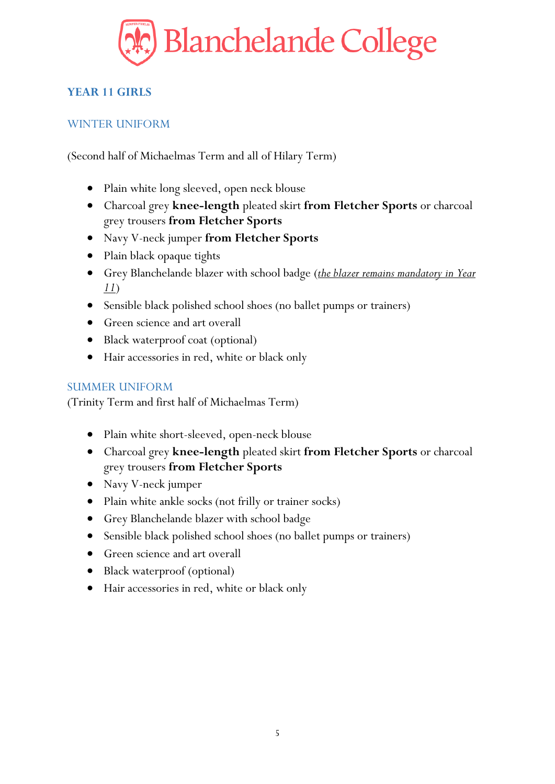

# <span id="page-4-0"></span>**YEAR 11 GIRLS**

### <span id="page-4-1"></span>WINTER UNIFORM

(Second half of Michaelmas Term and all of Hilary Term)

- Plain white long sleeved, open neck blouse
- Charcoal grey **knee-length** pleated skirt **from Fletcher Sports** or charcoal grey trousers **from Fletcher Sports**
- Navy V-neck jumper **from Fletcher Sports**
- Plain black opaque tights
- Grey Blanchelande blazer with school badge (*the blazer remains mandatory in Year 11*)
- Sensible black polished school shoes (no ballet pumps or trainers)
- Green science and art overall
- Black waterproof coat (optional)
- Hair accessories in red, white or black only

### <span id="page-4-2"></span>SUMMER UNIFORM

- Plain white short-sleeved, open-neck blouse
- Charcoal grey **knee-length** pleated skirt **from Fletcher Sports** or charcoal grey trousers **from Fletcher Sports**
- Navy V-neck jumper
- Plain white ankle socks (not frilly or trainer socks)
- Grey Blanchelande blazer with school badge
- Sensible black polished school shoes (no ballet pumps or trainers)
- Green science and art overall
- Black waterproof (optional)
- Hair accessories in red, white or black only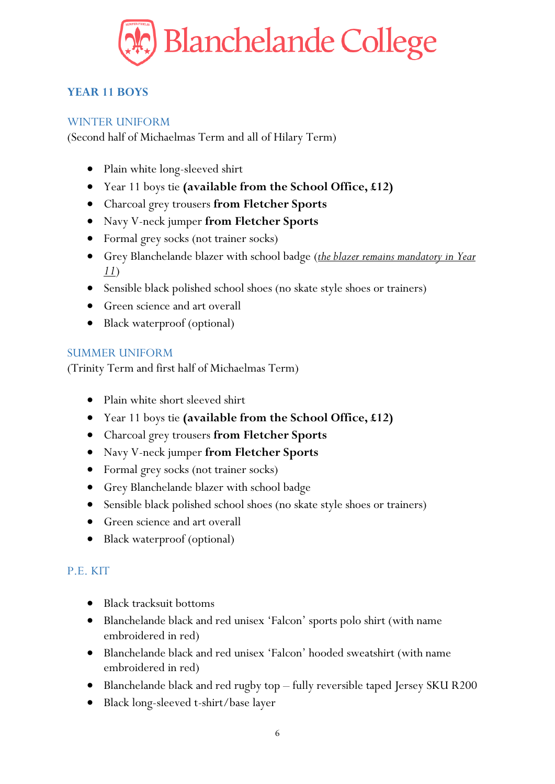

# <span id="page-5-0"></span>**YEAR 11 BOYS**

#### <span id="page-5-1"></span>WINTER UNIFORM

(Second half of Michaelmas Term and all of Hilary Term)

- Plain white long-sleeved shirt
- Year 11 boys tie **(available from the School Office, £12)**
- Charcoal grey trousers **from Fletcher Sports**
- Navy V-neck jumper **from Fletcher Sports**
- Formal grey socks (not trainer socks)
- Grey Blanchelande blazer with school badge (*the blazer remains mandatory in Year 11*)
- Sensible black polished school shoes (no skate style shoes or trainers)
- Green science and art overall
- Black waterproof (optional)

#### <span id="page-5-2"></span>SUMMER UNIFORM

(Trinity Term and first half of Michaelmas Term)

- Plain white short sleeved shirt
- Year 11 boys tie **(available from the School Office, £12)**
- Charcoal grey trousers **from Fletcher Sports**
- Navy V-neck jumper **from Fletcher Sports**
- Formal grey socks (not trainer socks)
- Grey Blanchelande blazer with school badge
- Sensible black polished school shoes (no skate style shoes or trainers)
- Green science and art overall
- <span id="page-5-3"></span>• Black waterproof (optional)

- Black tracksuit bottoms
- Blanchelande black and red unisex 'Falcon' sports polo shirt (with name embroidered in red)
- Blanchelande black and red unisex 'Falcon' hooded sweatshirt (with name embroidered in red)
- Blanchelande black and red rugby top fully reversible taped Jersey SKU R200
- Black long-sleeved t-shirt/base layer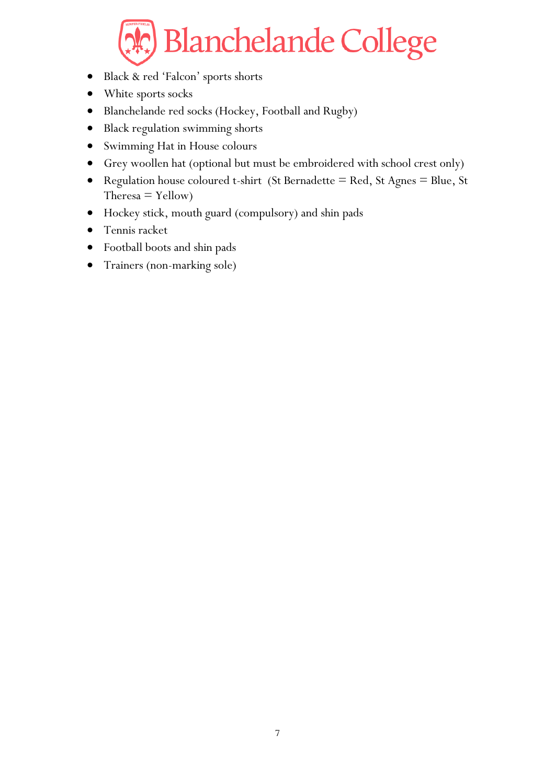- Black & red 'Falcon' sports shorts
- White sports socks
- Blanchelande red socks (Hockey, Football and Rugby)
- Black regulation swimming shorts
- Swimming Hat in House colours
- Grey woollen hat (optional but must be embroidered with school crest only)
- Regulation house coloured t-shirt (St Bernadette = Red, St Agnes = Blue, St  $The *resa* = *Y*ellow)$
- Hockey stick, mouth guard (compulsory) and shin pads
- Tennis racket
- Football boots and shin pads
- Trainers (non-marking sole)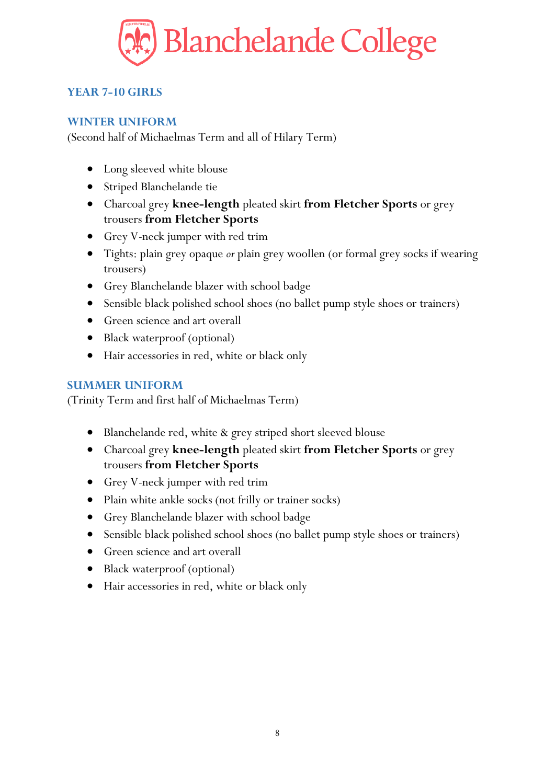

# <span id="page-7-0"></span>**YEAR 7-10 GIRLS**

#### <span id="page-7-1"></span>**WINTER UNIFORM**

(Second half of Michaelmas Term and all of Hilary Term)

- Long sleeved white blouse
- Striped Blanchelande tie
- Charcoal grey **knee-length** pleated skirt **from Fletcher Sports** or grey trousers **from Fletcher Sports**
- Grey V-neck jumper with red trim
- Tights: plain grey opaque *or* plain grey woollen (or formal grey socks if wearing trousers)
- Grey Blanchelande blazer with school badge
- Sensible black polished school shoes (no ballet pump style shoes or trainers)
- Green science and art overall
- Black waterproof (optional)
- Hair accessories in red, white or black only

#### <span id="page-7-2"></span>**SUMMER UNIFORM**

- Blanchelande red, white & grey striped short sleeved blouse
- Charcoal grey **knee-length** pleated skirt **from Fletcher Sports** or grey trousers **from Fletcher Sports**
- Grey V-neck jumper with red trim
- Plain white ankle socks (not frilly or trainer socks)
- Grey Blanchelande blazer with school badge
- Sensible black polished school shoes (no ballet pump style shoes or trainers)
- Green science and art overall
- Black waterproof (optional)
- Hair accessories in red, white or black only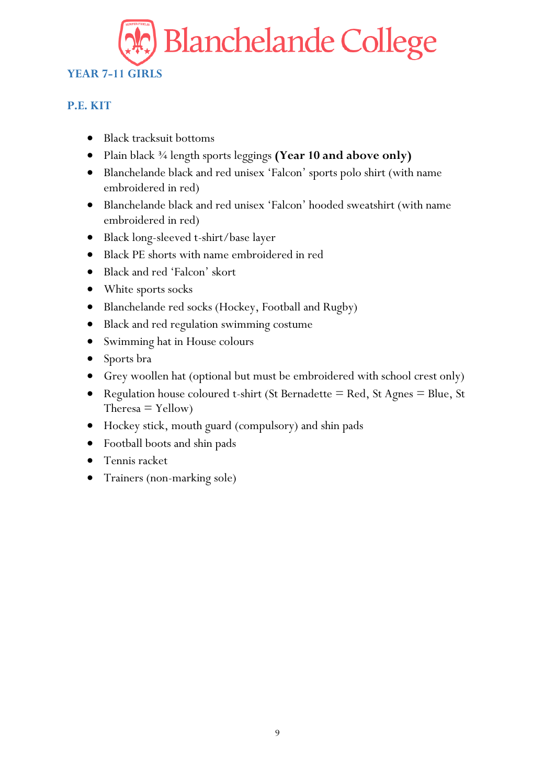# <span id="page-8-1"></span><span id="page-8-0"></span>**YEAR 7-11 GIRLS**

- Black tracksuit bottoms
- Plain black ¾ length sports leggings **(Year 10 and above only)**
- Blanchelande black and red unisex 'Falcon' sports polo shirt (with name embroidered in red)
- Blanchelande black and red unisex 'Falcon' hooded sweatshirt (with name embroidered in red)
- Black long-sleeved t-shirt/base layer
- Black PE shorts with name embroidered in red
- Black and red 'Falcon' skort
- White sports socks
- Blanchelande red socks (Hockey, Football and Rugby)
- Black and red regulation swimming costume
- Swimming hat in House colours
- Sports bra
- Grey woollen hat (optional but must be embroidered with school crest only)
- Regulation house coloured t-shirt (St Bernadette = Red, St Agnes = Blue, St  $T$ heresa = Yellow)
- Hockey stick, mouth guard (compulsory) and shin pads
- Football boots and shin pads
- Tennis racket
- Trainers (non-marking sole)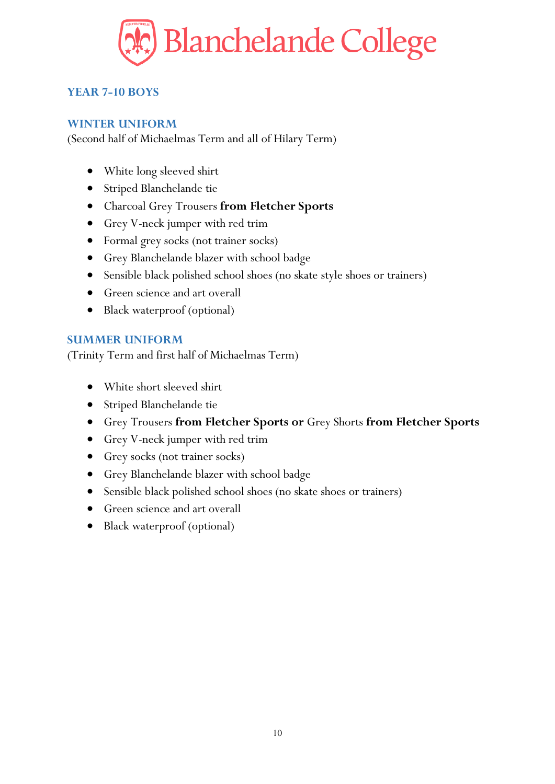

# <span id="page-9-0"></span>**YEAR 7-10 BOYS**

#### <span id="page-9-1"></span>**WINTER UNIFORM**

(Second half of Michaelmas Term and all of Hilary Term)

- White long sleeved shirt
- Striped Blanchelande tie
- Charcoal Grey Trousers **from Fletcher Sports**
- Grey V-neck jumper with red trim
- Formal grey socks (not trainer socks)
- Grey Blanchelande blazer with school badge
- Sensible black polished school shoes (no skate style shoes or trainers)
- Green science and art overall
- Black waterproof (optional)

#### <span id="page-9-2"></span>**SUMMER UNIFORM**

- White short sleeved shirt
- Striped Blanchelande tie
- Grey Trousers **from Fletcher Sports or** Grey Shorts **from Fletcher Sports**
- Grey V-neck jumper with red trim
- Grey socks (not trainer socks)
- Grey Blanchelande blazer with school badge
- Sensible black polished school shoes (no skate shoes or trainers)
- Green science and art overall
- Black waterproof (optional)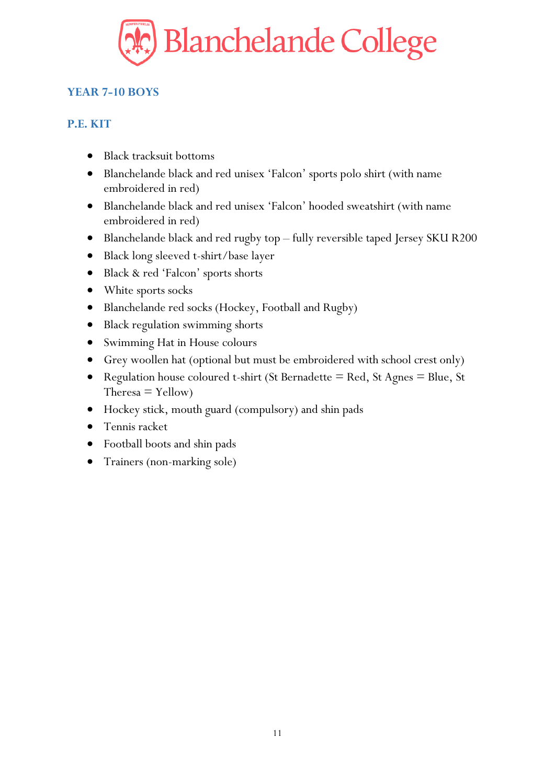

# <span id="page-10-1"></span><span id="page-10-0"></span>**YEAR 7-10 BOYS**

- Black tracksuit bottoms
- Blanchelande black and red unisex 'Falcon' sports polo shirt (with name embroidered in red)
- Blanchelande black and red unisex 'Falcon' hooded sweatshirt (with name embroidered in red)
- Blanchelande black and red rugby top fully reversible taped Jersey SKU R200
- Black long sleeved t-shirt/base layer
- Black & red 'Falcon' sports shorts
- White sports socks
- Blanchelande red socks (Hockey, Football and Rugby)
- Black regulation swimming shorts
- Swimming Hat in House colours
- Grey woollen hat (optional but must be embroidered with school crest only)
- Regulation house coloured t-shirt (St Bernadette = Red, St Agnes = Blue, St  $T$ heresa = Yellow)
- Hockey stick, mouth guard (compulsory) and shin pads
- Tennis racket
- Football boots and shin pads
- Trainers (non-marking sole)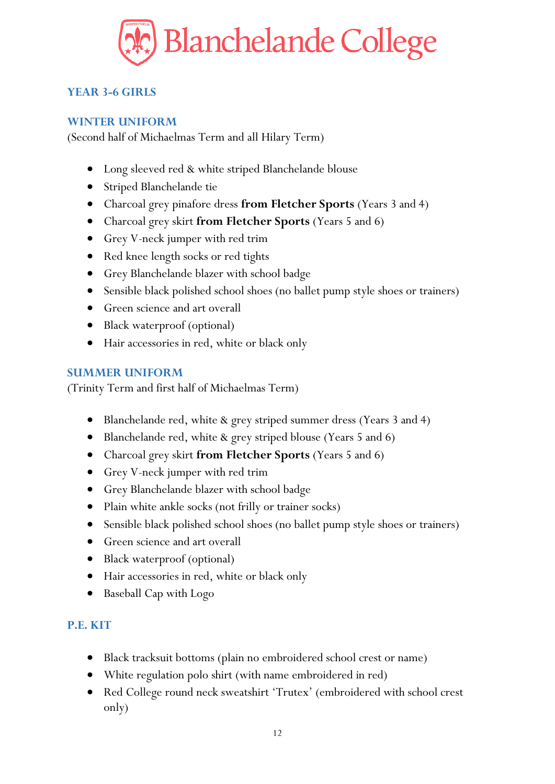

# <span id="page-11-0"></span>**YEAR 3-6 GIRLS**

#### <span id="page-11-1"></span>**WINTER UNIFORM**

(Second half of Michaelmas Term and all Hilary Term)

- Long sleeved red & white striped Blanchelande blouse
- Striped Blanchelande tie
- Charcoal grey pinafore dress **from Fletcher Sports** (Years 3 and 4)
- Charcoal grey skirt **from Fletcher Sports** (Years 5 and 6)
- Grey V-neck jumper with red trim
- Red knee length socks or red tights
- Grey Blanchelande blazer with school badge
- Sensible black polished school shoes (no ballet pump style shoes or trainers)
- Green science and art overall
- Black waterproof (optional)
- Hair accessories in red, white or black only

#### <span id="page-11-2"></span>**SUMMER UNIFORM**

(Trinity Term and first half of Michaelmas Term)

- Blanchelande red, white & grey striped summer dress (Years 3 and 4)
- Blanchelande red, white & grey striped blouse (Years 5 and 6)
- Charcoal grey skirt **from Fletcher Sports** (Years 5 and 6)
- Grey V-neck jumper with red trim
- Grey Blanchelande blazer with school badge
- Plain white ankle socks (not frilly or trainer socks)
- Sensible black polished school shoes (no ballet pump style shoes or trainers)
- Green science and art overall
- Black waterproof (optional)
- Hair accessories in red, white or black only
- <span id="page-11-3"></span>• Baseball Cap with Logo

- Black tracksuit bottoms (plain no embroidered school crest or name)
- White regulation polo shirt (with name embroidered in red)
- Red College round neck sweatshirt 'Trutex' (embroidered with school crest only)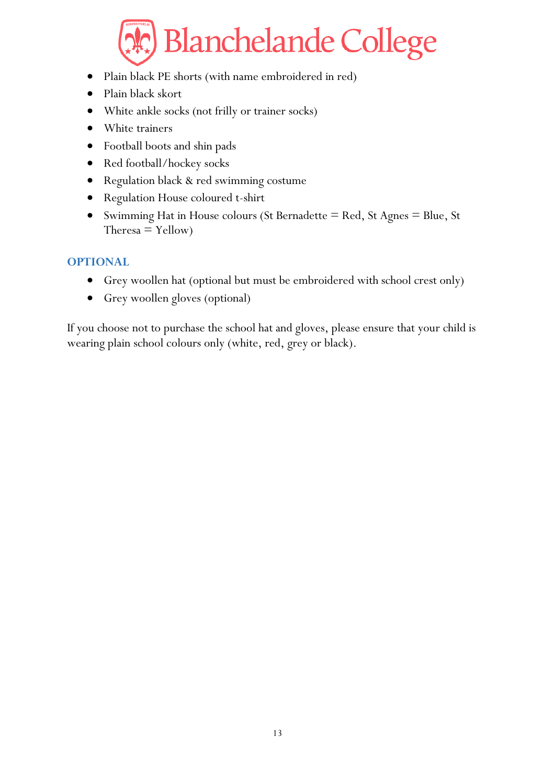- Plain black PE shorts (with name embroidered in red)
- Plain black skort
- White ankle socks (not frilly or trainer socks)
- White trainers
- Football boots and shin pads
- Red football/hockey socks
- Regulation black & red swimming costume
- Regulation House coloured t-shirt
- Swimming Hat in House colours (St Bernadette = Red, St Agnes = Blue, St  $The *resa* = *Y*ellow)$

#### <span id="page-12-0"></span>**OPTIONAL**

- Grey woollen hat (optional but must be embroidered with school crest only)
- Grey woollen gloves (optional)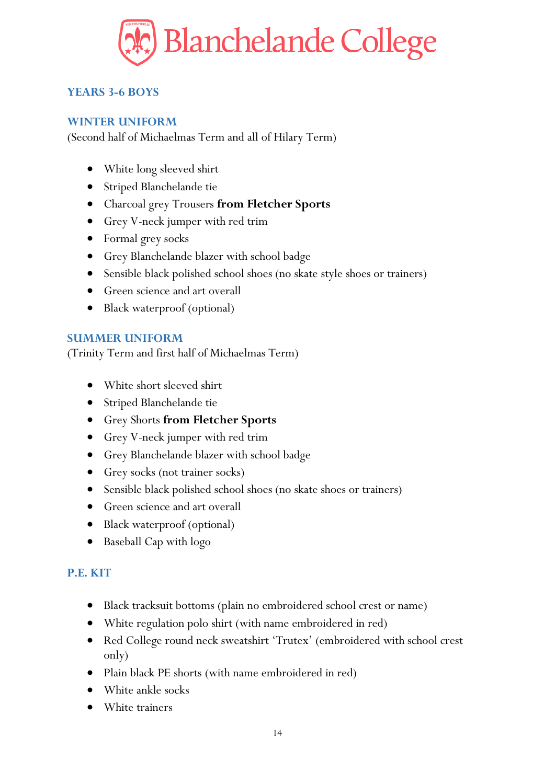

# <span id="page-13-0"></span>**YEARS 3-6 BOYS**

#### <span id="page-13-1"></span>**WINTER UNIFORM**

(Second half of Michaelmas Term and all of Hilary Term)

- White long sleeved shirt
- Striped Blanchelande tie
- Charcoal grey Trousers **from Fletcher Sports**
- Grey V-neck jumper with red trim
- Formal grey socks
- Grey Blanchelande blazer with school badge
- Sensible black polished school shoes (no skate style shoes or trainers)
- Green science and art overall
- Black waterproof (optional)

#### <span id="page-13-2"></span>**SUMMER UNIFORM**

(Trinity Term and first half of Michaelmas Term)

- White short sleeved shirt
- Striped Blanchelande tie
- Grey Shorts **from Fletcher Sports**
- Grey V-neck jumper with red trim
- Grey Blanchelande blazer with school badge
- Grey socks (not trainer socks)
- Sensible black polished school shoes (no skate shoes or trainers)
- Green science and art overall
- Black waterproof (optional)
- <span id="page-13-3"></span>• Baseball Cap with logo

- Black tracksuit bottoms (plain no embroidered school crest or name)
- White regulation polo shirt (with name embroidered in red)
- Red College round neck sweatshirt 'Trutex' (embroidered with school crest only)
- Plain black PE shorts (with name embroidered in red)
- White ankle socks
- White trainers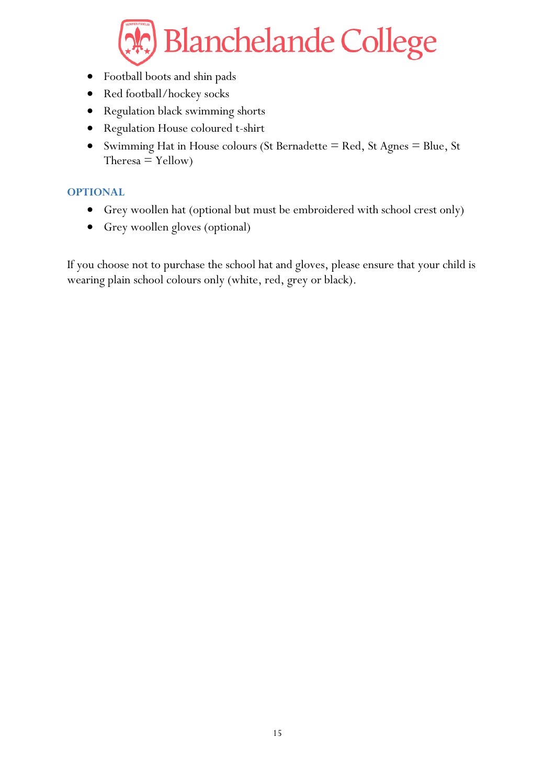- Football boots and shin pads
- Red football/hockey socks
- Regulation black swimming shorts
- Regulation House coloured t-shirt
- Swimming Hat in House colours (St Bernadette = Red, St Agnes = Blue, St  $The *resa* = *Y*ellow)$

#### <span id="page-14-0"></span>**OPTIONAL**

- Grey woollen hat (optional but must be embroidered with school crest only)
- Grey woollen gloves (optional)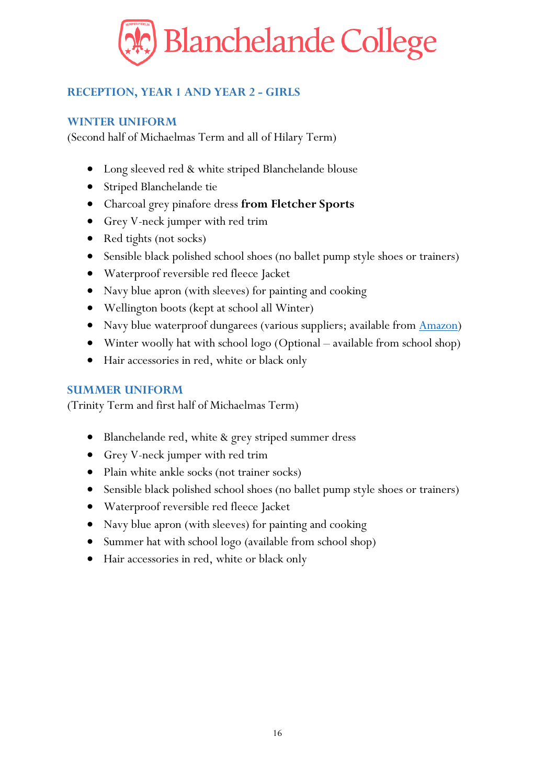

# <span id="page-15-0"></span>**RECEPTION, YEAR 1 AND YEAR 2 - GIRLS**

#### <span id="page-15-1"></span>**WINTER UNIFORM**

(Second half of Michaelmas Term and all of Hilary Term)

- Long sleeved red & white striped Blanchelande blouse
- Striped Blanchelande tie
- Charcoal grey pinafore dress **from Fletcher Sports**
- Grey V-neck jumper with red trim
- Red tights (not socks)
- Sensible black polished school shoes (no ballet pump style shoes or trainers)
- Waterproof reversible red fleece Jacket
- Navy blue apron (with sleeves) for painting and cooking
- Wellington boots (kept at school all Winter)
- Navy blue waterproof dungarees (various suppliers; available from **Amazon**)
- Winter woolly hat with school logo (Optional available from school shop)
- Hair accessories in red, white or black only

#### <span id="page-15-2"></span>**SUMMER UNIFORM**

- Blanchelande red, white & grey striped summer dress
- Grey V-neck jumper with red trim
- Plain white ankle socks (not trainer socks)
- Sensible black polished school shoes (no ballet pump style shoes or trainers)
- Waterproof reversible red fleece Jacket
- Navy blue apron (with sleeves) for painting and cooking
- Summer hat with school logo (available from school shop)
- Hair accessories in red, white or black only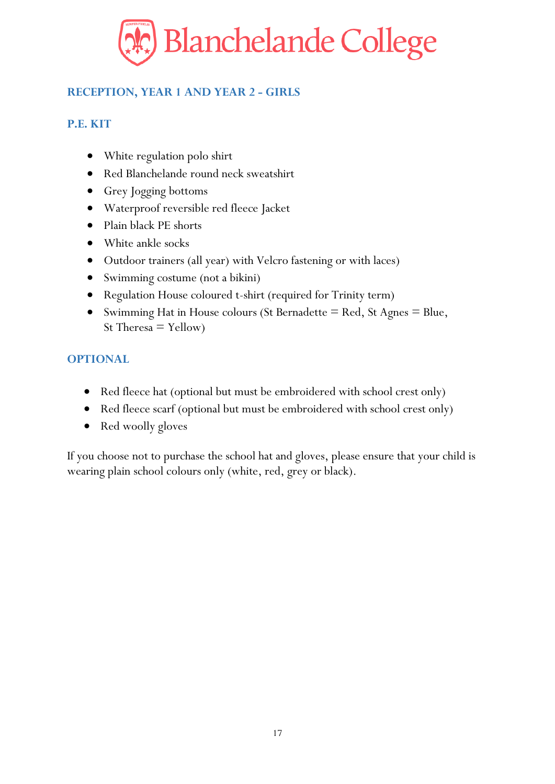

# <span id="page-16-0"></span>**RECEPTION, YEAR 1 AND YEAR 2 - GIRLS**

#### <span id="page-16-1"></span>**P.E. KIT**

- White regulation polo shirt
- Red Blanchelande round neck sweatshirt
- Grey Jogging bottoms
- Waterproof reversible red fleece Jacket
- Plain black PE shorts
- White ankle socks
- Outdoor trainers (all year) with Velcro fastening or with laces)
- Swimming costume (not a bikini)
- Regulation House coloured t-shirt (required for Trinity term)
- Swimming Hat in House colours (St Bernadette  $=$  Red, St Agnes  $=$  Blue, St Theresa  $=$  Yellow)

### <span id="page-16-2"></span>**OPTIONAL**

- Red fleece hat (optional but must be embroidered with school crest only)
- Red fleece scarf (optional but must be embroidered with school crest only)
- Red woolly gloves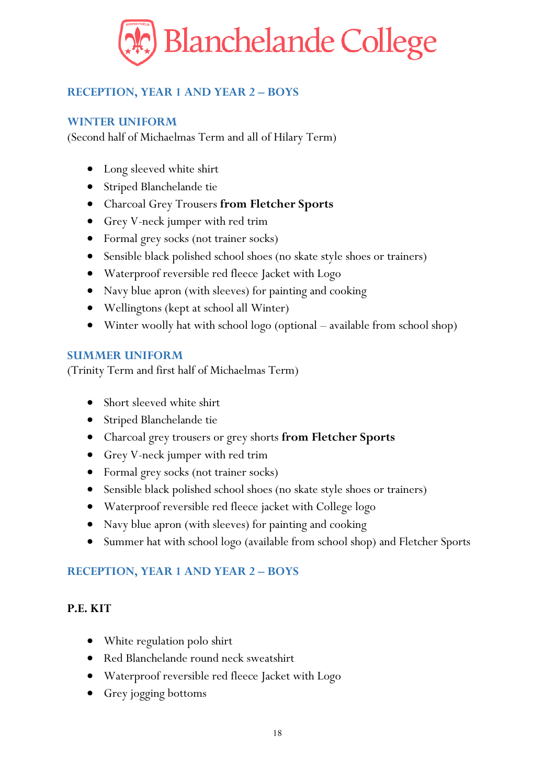

# <span id="page-17-0"></span>**RECEPTION, YEAR 1 AND YEAR 2 – BOYS**

#### <span id="page-17-1"></span>**WINTER UNIFORM**

(Second half of Michaelmas Term and all of Hilary Term)

- Long sleeved white shirt
- Striped Blanchelande tie
- Charcoal Grey Trousers **from Fletcher Sports**
- Grey V-neck jumper with red trim
- Formal grey socks (not trainer socks)
- Sensible black polished school shoes (no skate style shoes or trainers)
- Waterproof reversible red fleece Jacket with Logo
- Navy blue apron (with sleeves) for painting and cooking
- Wellingtons (kept at school all Winter)
- Winter woolly hat with school logo (optional available from school shop)

#### <span id="page-17-2"></span>**SUMMER UNIFORM**

(Trinity Term and first half of Michaelmas Term)

- Short sleeved white shirt
- Striped Blanchelande tie
- Charcoal grey trousers or grey shorts **from Fletcher Sports**
- Grey V-neck jumper with red trim
- Formal grey socks (not trainer socks)
- Sensible black polished school shoes (no skate style shoes or trainers)
- Waterproof reversible red fleece jacket with College logo
- Navy blue apron (with sleeves) for painting and cooking
- Summer hat with school logo (available from school shop) and Fletcher Sports

#### <span id="page-17-3"></span>**RECEPTION, YEAR 1 AND YEAR 2 – BOYS**

- White regulation polo shirt
- Red Blanchelande round neck sweatshirt
- Waterproof reversible red fleece Jacket with Logo
- Grey jogging bottoms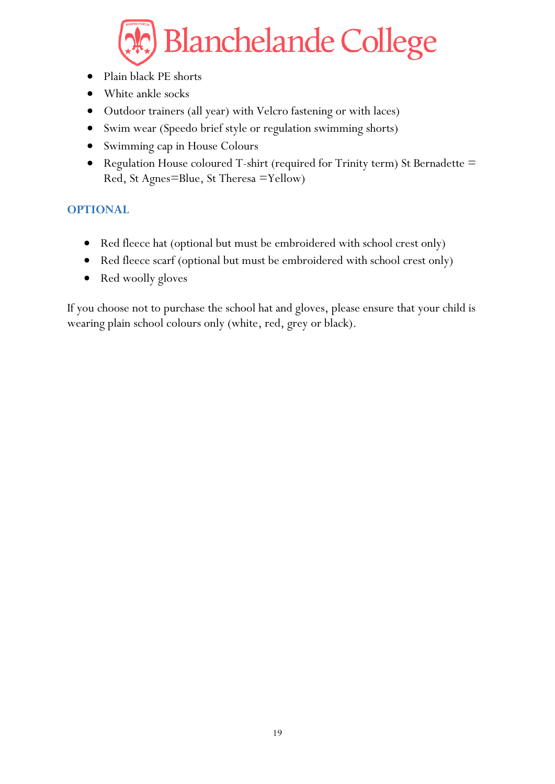- Plain black PE shorts
- White ankle socks
- Outdoor trainers (all year) with Velcro fastening or with laces)
- Swim wear (Speedo brief style or regulation swimming shorts)
- Swimming cap in House Colours
- Regulation House coloured T-shirt (required for Trinity term) St Bernadette = Red, St Agnes=Blue, St Theresa =Yellow)

### <span id="page-18-0"></span>**OPTIONAL**

- Red fleece hat (optional but must be embroidered with school crest only)
- Red fleece scarf (optional but must be embroidered with school crest only)
- Red woolly gloves